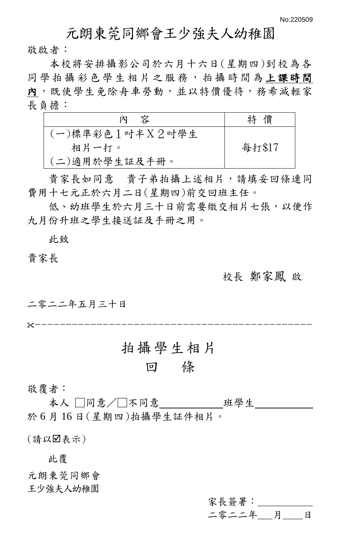# 元朗東莞同鄉會王少強夫人幼稚園

敬啟者:

本校將安排攝影公司於六月十六日(星期四)到校為各 同 學 拍 攝 彩 色 學 生 相 片 之 服 務 , 拍 攝 時 間 為 上課時間 內,既使學生免除舟車勞動,並以特價優待,務希減輕家 長負擔:

| - 容<br>内          | 價<br>特 |
|-------------------|--------|
| (一)標準彩色1 吋半X2 吋學生 |        |
| 相片一打。             | 每打\$17 |
| (二)適用於學生証及手冊。     |        |

 貴家長如同意 貴子弟拍攝上述相片,請填妥回條連同 費用十七元正於六月二日(星期四)前交回班主任。

低、幼班學生於六月三十日前需要繳交相片七張,以便作 九月份升班之學生接送証及手冊之用。

此致

#### 貴家長

#### 校長 鄭家鳳 啟

二零二二年五月三十日

---------------------------------------------

# 拍攝學生相片

# 回 條

敬覆者:

本人 □同意/□不同意 サンチン 班學生 於 6 月 16 日(星期四)拍攝學生証件相片。

(請以表示)

此覆

元朗東莞同鄉會 王少強夫人幼稚園

> 家長簽署: \_\_\_\_\_ 二零二二年\_\_\_月\_\_\_\_日